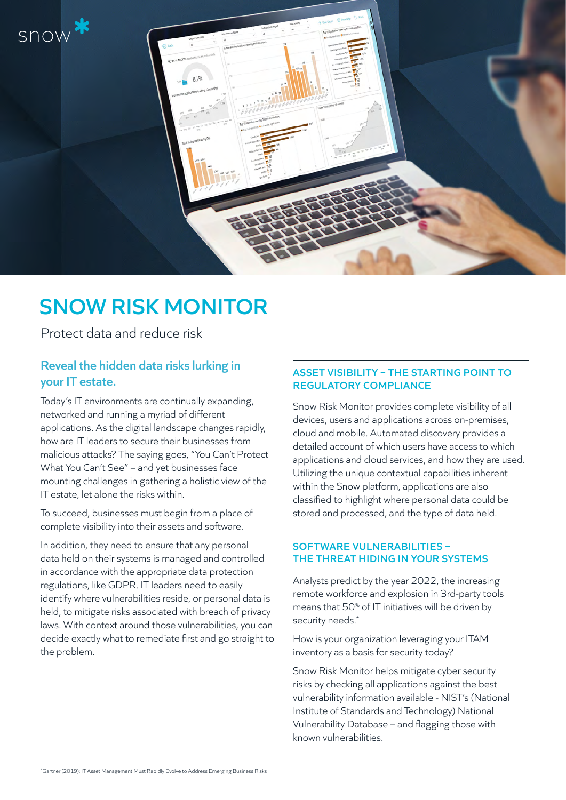

# **SNOW RISK MONITOR**

Protect data and reduce risk

## **Reveal the hidden data risks lurking in your IT estate.**

Today's IT environments are continually expanding, networked and running a myriad of different applications. As the digital landscape changes rapidly, how are IT leaders to secure their businesses from malicious attacks? The saying goes, "You Can't Protect What You Can't See" – and yet businesses face mounting challenges in gathering a holistic view of the IT estate, let alone the risks within.

To succeed, businesses must begin from a place of complete visibility into their assets and software.

In addition, they need to ensure that any personal data held on their systems is managed and controlled in accordance with the appropriate data protection regulations, like GDPR. IT leaders need to easily identify where vulnerabilities reside, or personal data is held, to mitigate risks associated with breach of privacy laws. With context around those vulnerabilities, you can decide exactly what to remediate first and go straight to the problem.

### **ASSET VISIBILITY – THE STARTING POINT TO REGULATORY COMPLIANCE**

Snow Risk Monitor provides complete visibility of all devices, users and applications across on-premises, cloud and mobile. Automated discovery provides a detailed account of which users have access to which applications and cloud services, and how they are used. Utilizing the unique contextual capabilities inherent within the Snow platform, applications are also classified to highlight where personal data could be stored and processed, and the type of data held.

### **SOFTWARE VULNERABILITIES – THE THREAT HIDING IN YOUR SYSTEMS**

Analysts predict by the year 2022, the increasing remote workforce and explosion in 3rd-party tools means that 50% of IT initiatives will be driven by security needs.<sup>\*</sup>

How is your organization leveraging your ITAM inventory as a basis for security today?

Snow Risk Monitor helps mitigate cyber security risks by checking all applications against the best vulnerability information available - NIST's (National Institute of Standards and Technology) National Vulnerability Database – and flagging those with known vulnerabilities.